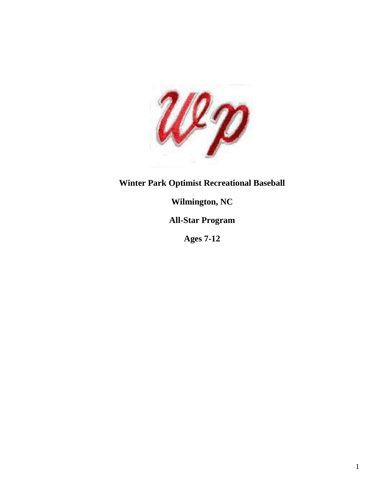

# **Winter Park Optimist Recreational Baseball**

## **Wilmington, NC**

## **All-Star Program**

**Ages 7-12**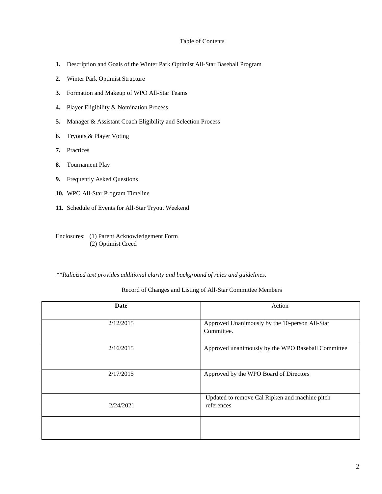#### Table of Contents

- **1.** Description and Goals of the Winter Park Optimist All-Star Baseball Program
- **2.** Winter Park Optimist Structure
- **3.** Formation and Makeup of WPO All-Star Teams
- **4.** Player Eligibility & Nomination Process
- **5.** Manager & Assistant Coach Eligibility and Selection Process
- **6.** Tryouts & Player Voting
- **7.** Practices
- **8.** Tournament Play
- **9.** Frequently Asked Questions
- **10.** WPO All-Star Program Timeline
- **11.** Schedule of Events for All-Star Tryout Weekend

Enclosures: (1) Parent Acknowledgement Form (2) Optimist Creed

*\*\*Italicized text provides additional clarity and background of rules and guidelines.* 

#### Record of Changes and Listing of All-Star Committee Members

| Date      | Action                                                       |
|-----------|--------------------------------------------------------------|
| 2/12/2015 | Approved Unanimously by the 10-person All-Star<br>Committee. |
| 2/16/2015 | Approved unanimously by the WPO Baseball Committee           |
| 2/17/2015 | Approved by the WPO Board of Directors                       |
| 2/24/2021 | Updated to remove Cal Ripken and machine pitch<br>references |
|           |                                                              |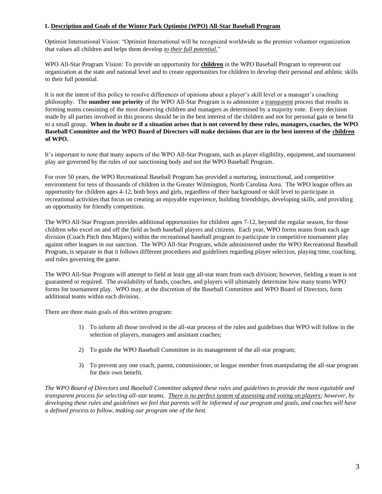## **1. Description and Goals of the Winter Park Optimist (WPO) All-Star Baseball Program**

Optimist International Vision: "Optimist International will be recognized worldwide as the premier volunteer organization that values all children and helps them develop *to their full potential.*"

WPO All-Star Program Vision: To provide an opportunity for **children** in the WPO Baseball Program to represent our organization at the state and national level and to create opportunities for children to develop their personal and athletic skills to their full potential*.*

It is not the intent of this policy to resolve differences of opinions about a player's skill level or a manager's coaching philosophy. The **number one priority** of the WPO All-Star Program is to administer a transparent process that results in forming teams consisting of the most deserving children and managers as determined by a majority vote. Every decision made by all parties involved in this process should be in the best interest of the children and not for personal gain or benefit to a small group. **When in doubt or if a situation arises that is not covered by these rules, managers, coaches, the WPO Baseball Committee and the WPO Board of Directors will make decisions that are in the best interest of the children of WPO.**

It's important to note that many aspects of the WPO All-Star Program, such as player eligibility, equipment, and tournament play are governed by the rules of our sanctioning body and not the WPO Baseball Program.

For over 50 years, the WPO Recreational Baseball Program has provided a nurturing, instructional, and competitive environment for tens of thousands of children in the Greater Wilmington, North Carolina Area. The WPO league offers an opportunity for children ages 4-12, both boys and girls, regardless of their background or skill level to participate in recreational activities that focus on creating an enjoyable experience, building friendships, developing skills, and providing an opportunity for friendly competition.

The WPO All-Star Program provides additional opportunities for children ages 7-12, beyond the regular season, for those children who excel on and off the field as both baseball players and citizens. Each year, WPO forms teams from each age division (Coach Pitch thru Majors) within the recreational baseball program to participate in competitive tournament play against other leagues in our sanction. The WPO All-Star Program, while administered under the WPO Recreational Baseball Program, is separate in that it follows different procedures and guidelines regarding player selection, playing time, coaching, and rules governing the game.

The WPO All-Star Program will attempt to field at least <u>one</u> all-star team from each division; however, fielding a team is not guaranteed or required. The availability of funds, coaches, and players will ultimately determine how many teams WPO forms for tournament play. WPO may, at the discretion of the Baseball Committee and WPO Board of Directors, form additional teams within each division.

There are three main goals of this written program:

- 1) To inform all those involved in the all-star process of the rules and guidelines that WPO will follow in the selection of players, managers and assistant coaches;
- 2) To guide the WPO Baseball Committee in its management of the all-star program;
- 3) To prevent any one coach, parent, commissioner, or league member from manipulating the all-star program for their own benefit.

*The WPO Board of Directors and Baseball Committee adopted these rules and guidelines to provide the most equitable and transparent process for selecting all-star teams. There is no perfect system of assessing and voting on players; however, by developing these rules and guidelines we feel that parents will be informed of our program and goals, and coaches will have a defined process to follow, making our program one of the best.*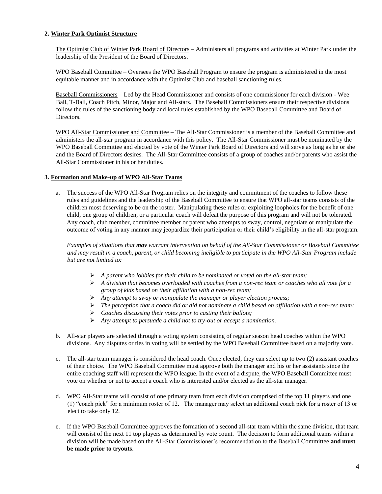## **2. Winter Park Optimist Structure**

The Optimist Club of Winter Park Board of Directors – Administers all programs and activities at Winter Park under the leadership of the President of the Board of Directors.

WPO Baseball Committee – Oversees the WPO Baseball Program to ensure the program is administered in the most equitable manner and in accordance with the Optimist Club and baseball sanctioning rules.

Baseball Commissioners – Led by the Head Commissioner and consists of one commissioner for each division - Wee Ball, T-Ball, Coach Pitch, Minor, Major and All-stars. The Baseball Commissioners ensure their respective divisions follow the rules of the sanctioning body and local rules established by the WPO Baseball Committee and Board of Directors.

WPO All-Star Commissioner and Committee – The All-Star Commissioner is a member of the Baseball Committee and administers the all-star program in accordance with this policy. The All-Star Commissioner must be nominated by the WPO Baseball Committee and elected by vote of the Winter Park Board of Directors and will serve as long as he or she and the Board of Directors desires. The All-Star Committee consists of a group of coaches and/or parents who assist the All-Star Commissioner in his or her duties.

#### **3. Formation and Make-up of WPO All-Star Teams**

a. The success of the WPO All-Star Program relies on the integrity and commitment of the coaches to follow these rules and guidelines and the leadership of the Baseball Committee to ensure that WPO all-star teams consists of the children most deserving to be on the roster. Manipulating these rules or exploiting loopholes for the benefit of one child, one group of children, or a particular coach will defeat the purpose of this program and will not be tolerated. Any coach, club member, committee member or parent who attempts to sway, control, negotiate or manipulate the outcome of voting in any manner may jeopardize their participation or their child's eligibility in the all-star program.

*Examples of situations that may warrant intervention on behalf of the All-Star Commissioner or Baseball Committee and may result in a coach, parent, or child becoming ineligible to participate in the WPO All-Star Program include but are not limited to:* 

- ➢ *A parent who lobbies for their child to be nominated or voted on the all-star team;*
- ➢ *A division that becomes overloaded with coaches from a non-rec team or coaches who all vote for a group of kids based on their affiliation with a non-rec team;*
- ➢ *Any attempt to sway or manipulate the manager or player election process;*
- ➢ *The perception that a coach did or did not nominate a child based on affiliation with a non-rec team;*
- ➢ *Coaches discussing their votes prior to casting their ballots;*
- ➢ *Any attempt to persuade a child not to try-out or accept a nomination.*
- b. All-star players are selected through a voting system consisting of regular season head coaches within the WPO divisions. Any disputes or ties in voting will be settled by the WPO Baseball Committee based on a majority vote.
- c. The all-star team manager is considered the head coach. Once elected, they can select up to two (2) assistant coaches of their choice. The WPO Baseball Committee must approve both the manager and his or her assistants since the entire coaching staff will represent the WPO league. In the event of a dispute, the WPO Baseball Committee must vote on whether or not to accept a coach who is interested and/or elected as the all-star manager.
- d. WPO All-Star teams will consist of one primary team from each division comprised of the top **11** players and one (1) "coach pick" for a minimum roster of 12. The manager may select an additional coach pick for a roster of 13 or elect to take only 12.
- e. If the WPO Baseball Committee approves the formation of a second all-star team within the same division, that team will consist of the next 11 top players as determined by vote count. The decision to form additional teams within a division will be made based on the All-Star Commissioner's recommendation to the Baseball Committee **and must be made prior to tryouts**.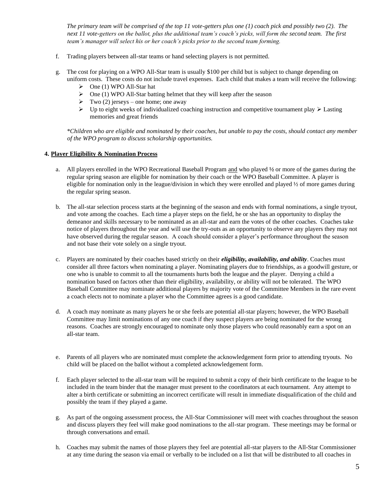*The primary team will be comprised of the top 11 vote-getters plus one (1) coach pick and possibly two (2). The next 11 vote-getters on the ballot, plus the additional team's coach's picks, will form the second team. The first team's manager will select his or her coach's picks prior to the second team forming.*

- f. Trading players between all-star teams or hand selecting players is not permitted.
- g. The cost for playing on a WPO All-Star team is usually \$100 per child but is subject to change depending on uniform costs. These costs do not include travel expenses. Each child that makes a team will receive the following:
	- $\triangleright$  One (1) WPO All-Star hat
	- $\triangleright$  One (1) WPO All-Star batting helmet that they will keep after the season
	- $\triangleright$  Two (2) jerseys one home; one away
	- ➢ Up to eight weeks of individualized coaching instruction and competitive tournament play ➢ Lasting memories and great friends

*\*Children who are eligible and nominated by their coaches, but unable to pay the costs, should contact any member of the WPO program to discuss scholarship opportunities.* 

## **4. Player Eligibility & Nomination Process**

- a. All players enrolled in the WPO Recreational Baseball Program and who played **½** or more of the games during the regular spring season are eligible for nomination by their coach or the WPO Baseball Committee. A player is eligible for nomination only in the league/division in which they were enrolled and played ½ of more games during the regular spring season.
- b. The all-star selection process starts at the beginning of the season and ends with formal nominations, a single tryout, and vote among the coaches. Each time a player steps on the field, he or she has an opportunity to display the demeanor and skills necessary to be nominated as an all-star and earn the votes of the other coaches. Coaches take notice of players throughout the year and will use the try-outs as an opportunity to observe any players they may not have observed during the regular season. A coach should consider a player's performance throughout the season and not base their vote solely on a single tryout.
- c. Players are nominated by their coaches based strictly on their *eligibility, availability, and ability*. Coaches must consider all three factors when nominating a player. Nominating players due to friendships, as a goodwill gesture, or one who is unable to commit to all the tournaments hurts both the league and the player. Denying a child a nomination based on factors other than their eligibility, availability, or ability will not be tolerated. The WPO Baseball Committee may nominate additional players by majority vote of the Committee Members in the rare event a coach elects not to nominate a player who the Committee agrees is a good candidate.
- d. A coach may nominate as many players he or she feels are potential all-star players; however, the WPO Baseball Committee may limit nominations of any one coach if they suspect players are being nominated for the wrong reasons. Coaches are strongly encouraged to nominate only those players who could reasonably earn a spot on an all-star team.
- e. Parents of all players who are nominated must complete the acknowledgement form prior to attending tryouts. No child will be placed on the ballot without a completed acknowledgement form.
- f. Each player selected to the all-star team will be required to submit a copy of their birth certificate to the league to be included in the team binder that the manager must present to the coordinators at each tournament. Any attempt to alter a birth certificate or submitting an incorrect certificate will result in immediate disqualification of the child and possibly the team if they played a game.
- g. As part of the ongoing assessment process, the All-Star Commissioner will meet with coaches throughout the season and discuss players they feel will make good nominations to the all-star program. These meetings may be formal or through conversations and email.
- h. Coaches may submit the names of those players they feel are potential all-star players to the All-Star Commissioner at any time during the season via email or verbally to be included on a list that will be distributed to all coaches in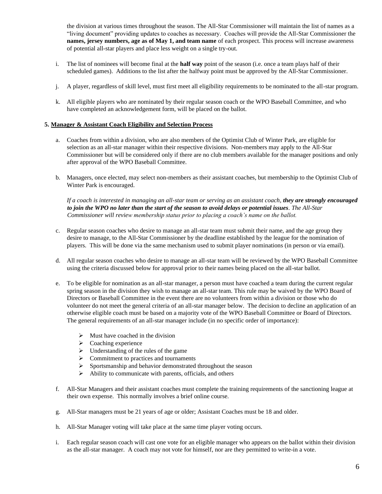the division at various times throughout the season. The All-Star Commissioner will maintain the list of names as a "living document" providing updates to coaches as necessary. Coaches will provide the All-Star Commissioner the **names, jersey numbers, age as of May 1, and team name** of each prospect. This process will increase awareness of potential all-star players and place less weight on a single try-out.

- i. The list of nominees will become final at the **half way** point of the season (i.e. once a team plays half of their scheduled games). Additions to the list after the halfway point must be approved by the All-Star Commissioner.
- j. A player, regardless of skill level, must first meet all eligibility requirements to be nominated to the all-star program.
- k. All eligible players who are nominated by their regular season coach or the WPO Baseball Committee, and who have completed an acknowledgement form, will be placed on the ballot.

#### **5. Manager & Assistant Coach Eligibility and Selection Process**

- a. Coaches from within a division, who are also members of the Optimist Club of Winter Park, are eligible for selection as an all-star manager within their respective divisions. Non-members may apply to the All-Star Commissioner but will be considered only if there are no club members available for the manager positions and only after approval of the WPO Baseball Committee.
- b. Managers, once elected, may select non-members as their assistant coaches, but membership to the Optimist Club of Winter Park is encouraged.

*If a coach is interested in managing an all-star team or serving as an assistant coach, they are strongly encouraged to join the WPO no later than the start of the season to avoid delays or potential issues. The All-Star Commissioner will review membership status prior to placing a coach's name on the ballot.* 

- c. Regular season coaches who desire to manage an all-star team must submit their name, and the age group they desire to manage, to the All-Star Commissioner by the deadline established by the league for the nomination of players. This will be done via the same mechanism used to submit player nominations (in person or via email).
- d. All regular season coaches who desire to manage an all-star team will be reviewed by the WPO Baseball Committee using the criteria discussed below for approval prior to their names being placed on the all-star ballot.
- e. To be eligible for nomination as an all-star manager, a person must have coached a team during the current regular spring season in the division they wish to manage an all-star team. This rule may be waived by the WPO Board of Directors or Baseball Committee in the event there are no volunteers from within a division or those who do volunteer do not meet the general criteria of an all-star manager below. The decision to decline an application of an otherwise eligible coach must be based on a majority vote of the WPO Baseball Committee or Board of Directors. The general requirements of an all-star manager include (in no specific order of importance):
	- $\triangleright$  Must have coached in the division
	- ➢ Coaching experience
	- ➢ Understanding of the rules of the game
	- ➢ Commitment to practices and tournaments
	- ➢ Sportsmanship and behavior demonstrated throughout the season
	- ➢ Ability to communicate with parents, officials, and others
- f. All-Star Managers and their assistant coaches must complete the training requirements of the sanctioning league at their own expense. This normally involves a brief online course.
- g. All-Star managers must be 21 years of age or older; Assistant Coaches must be 18 and older.
- h. All-Star Manager voting will take place at the same time player voting occurs.
- i. Each regular season coach will cast one vote for an eligible manager who appears on the ballot within their division as the all-star manager. A coach may not vote for himself, nor are they permitted to write-in a vote.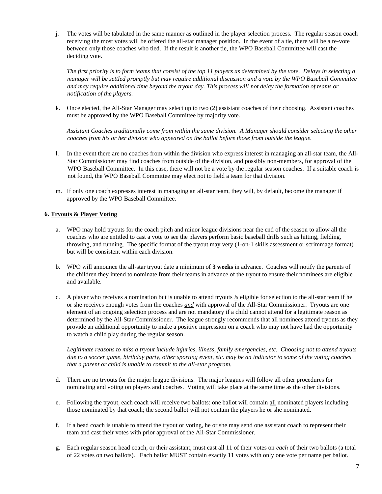j. The votes will be tabulated in the same manner as outlined in the player selection process. The regular season coach receiving the most votes will be offered the all-star manager position. In the event of a tie, there will be a re-vote between only those coaches who tied. If the result is another tie, the WPO Baseball Committee will cast the deciding vote.

*The first priority is to form teams that consist of the top 11 players as determined by the vote. Delays in selecting a manager will be settled promptly but may require additional discussion and a vote by the WPO Baseball Committee and may require additional time beyond the tryout day. This process will not delay the formation of teams or notification of the players.* 

k. Once elected, the All-Star Manager may select up to two (2) assistant coaches of their choosing. Assistant coaches must be approved by the WPO Baseball Committee by majority vote.

*Assistant Coaches traditionally come from within the same division. A Manager should consider selecting the other coaches from his or her division who appeared on the ballot before those from outside the league.*

- l. In the event there are no coaches from within the division who express interest in managing an all-star team, the All-Star Commissioner may find coaches from outside of the division, and possibly non-members, for approval of the WPO Baseball Committee. In this case, there will not be a vote by the regular season coaches. If a suitable coach is not found, the WPO Baseball Committee may elect not to field a team for that division.
- m. If only one coach expresses interest in managing an all-star team, they will, by default, become the manager if approved by the WPO Baseball Committee.

#### **6. Tryouts & Player Voting**

- a. WPO may hold tryouts for the coach pitch and minor league divisions near the end of the season to allow all the coaches who are entitled to cast a vote to see the players perform basic baseball drills such as hitting, fielding, throwing, and running. The specific format of the tryout may very (1-on-1 skills assessment or scrimmage format) but will be consistent within each division.
- b. WPO will announce the all-star tryout date a minimum of **3 weeks** in advance. Coaches will notify the parents of the children they intend to nominate from their teams in advance of the tryout to ensure their nominees are eligible and available.
- c. A player who receives a nomination but is unable to attend tryouts *is* eligible for selection to the all-star team if he or she receives enough votes from the coaches *and* with approval of the All-Star Commissioner. Tryouts are one element of an ongoing selection process and are not mandatory if a child cannot attend for a legitimate reason as determined by the All-Star Commissioner. The league strongly recommends that all nominees attend tryouts as they provide an additional opportunity to make a positive impression on a coach who may not have had the opportunity to watch a child play during the regular season.

*Legitimate reasons to miss a tryout include injuries, illness, family emergencies, etc. Choosing not to attend tryouts due to a soccer game, birthday party, other sporting event, etc. may be an indicator to some of the voting coaches that a parent or child is unable to commit to the all-star program.* 

- d. There are no tryouts for the major league divisions. The major leagues will follow all other procedures for nominating and voting on players and coaches. Voting will take place at the same time as the other divisions.
- e. Following the tryout, each coach will receive two ballots: one ballot will contain all nominated players including those nominated by that coach; the second ballot will not contain the players he or she nominated.
- f. If a head coach is unable to attend the tryout or voting, he or she may send one assistant coach to represent their team and cast their votes with prior approval of the All-Star Commissioner.
- g. Each regular season head coach, or their assistant, must cast all 11 of their votes on *each* of their two ballots (a total of 22 votes on two ballots). Each ballot MUST contain exactly 11 votes with only one vote per name per ballot.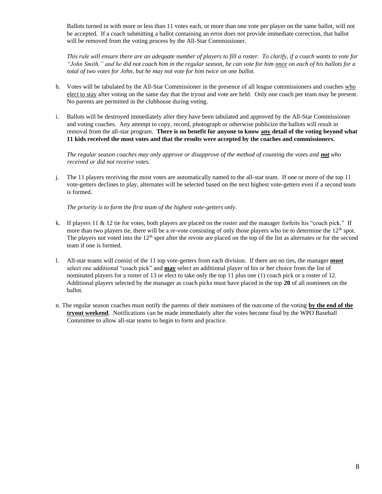Ballots turned in with more or less than 11 votes each, or more than one vote per player on the same ballot, will not be accepted. If a coach submitting a ballot containing an error does not provide immediate correction, that ballot will be removed from the voting process by the All-Star Commissioner.

*This rule will ensure there are an adequate number of players to fill a roster. To clarify, if a coach wants to vote for "John Smith," and he did not coach him in the regular season, he can vote for him once on each of his ballots for a total of two votes for John, but he may not vote for him twice on one ballot.* 

- h. Votes will be tabulated by the All-Star Commissioner in the presence of all league commissioners and coaches who elect to stay after voting on the same day that the tryout and vote are held. Only one coach per team may be present. No parents are permitted in the clubhouse during voting.
- i. Ballots will be destroyed immediately after they have been tabulated and approved by the All-Star Commissioner and voting coaches. Any attempt to copy, record, photograph or otherwise publicize the ballots will result in removal from the all-star program. **There is no benefit for anyone to know any detail of the voting beyond what 11 kids received the most votes and that the results were accepted by the coaches and commissioners.**

*The regular season coaches may only approve or disapprove of the method of counting the votes and not who received or did not receive votes.* 

j. The 11 players receiving the most votes are automatically named to the all-star team. If one or more of the top 11 vote-getters declines to play, alternates will be selected based on the next highest vote-getters even if a second team is formed.

*The priority is to form the first team of the highest vote-getters only.*

- k. If players 11 & 12 tie for votes, both players are placed on the roster and the manager forfeits his "coach pick." If more than two players tie, there will be a re-vote consisting of only those players who tie to determine the 12<sup>th</sup> spot. The players not voted into the  $12<sup>th</sup>$  spot after the revote are placed on the top of the list as alternates or for the second team if one is formed.
- l. All-star teams will consist of the 11 top vote-getters from each division. If there are no ties, the manager **must** select one additional "coach pick" and **may** select an additional player of his or her choice from the list of nominated players for a roster of 13 or elect to take only the top 11 plus one (1) coach pick or a roster of 12. Additional players selected by the manager as coach picks must have placed in the top **20** of all nominees on the ballot.
- n. The regular season coaches must notify the parents of their nominees of the outcome of the voting **by the end of the tryout weekend**. Notifications can be made immediately after the votes become final by the WPO Baseball Committee to allow all-star teams to begin to form and practice.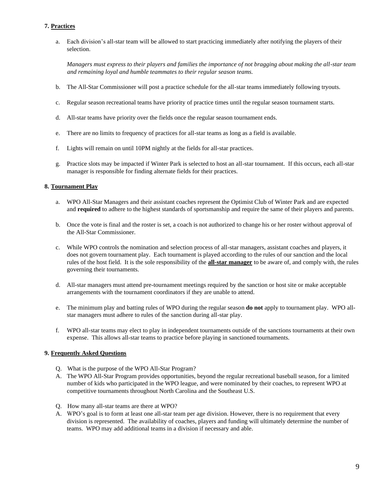## **7. Practices**

a. Each division's all-star team will be allowed to start practicing immediately after notifying the players of their selection.

*Managers must express to their players and families the importance of not bragging about making the all-star team and remaining loyal and humble teammates to their regular season teams.* 

- b. The All-Star Commissioner will post a practice schedule for the all-star teams immediately following tryouts.
- c. Regular season recreational teams have priority of practice times until the regular season tournament starts.
- d. All-star teams have priority over the fields once the regular season tournament ends.
- e. There are no limits to frequency of practices for all-star teams as long as a field is available.
- f. Lights will remain on until 10PM nightly at the fields for all-star practices.
- g. Practice slots may be impacted if Winter Park is selected to host an all-star tournament. If this occurs, each all-star manager is responsible for finding alternate fields for their practices.

#### **8. Tournament Play**

- a. WPO All-Star Managers and their assistant coaches represent the Optimist Club of Winter Park and are expected and **required** to adhere to the highest standards of sportsmanship and require the same of their players and parents.
- b. Once the vote is final and the roster is set, a coach is not authorized to change his or her roster without approval of the All-Star Commissioner.
- c. While WPO controls the nomination and selection process of all-star managers, assistant coaches and players, it does not govern tournament play. Each tournament is played according to the rules of our sanction and the local rules of the host field. It is the sole responsibility of the **all-star manager** to be aware of, and comply with, the rules governing their tournaments.
- d. All-star managers must attend pre-tournament meetings required by the sanction or host site or make acceptable arrangements with the tournament coordinators if they are unable to attend.
- e. The minimum play and batting rules of WPO during the regular season **do not** apply to tournament play. WPO allstar managers must adhere to rules of the sanction during all-star play.
- f. WPO all-star teams may elect to play in independent tournaments outside of the sanctions tournaments at their own expense. This allows all-star teams to practice before playing in sanctioned tournaments.

#### **9. Frequently Asked Questions**

- Q. What is the purpose of the WPO All-Star Program?
- A. The WPO All-Star Program provides opportunities, beyond the regular recreational baseball season, for a limited number of kids who participated in the WPO league, and were nominated by their coaches, to represent WPO at competitive tournaments throughout North Carolina and the Southeast U.S.
- Q. How many all-star teams are there at WPO?
- A. WPO's goal is to form at least one all-star team per age division. However, there is no requirement that every division is represented. The availability of coaches, players and funding will ultimately determine the number of teams. WPO may add additional teams in a division if necessary and able.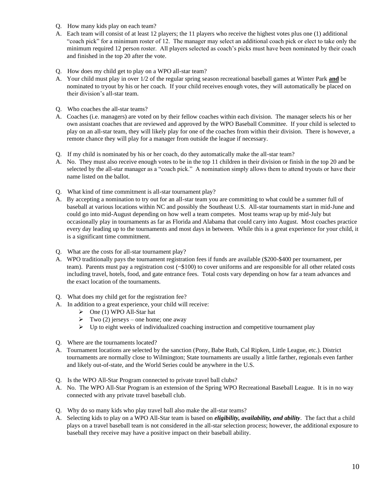- Q. How many kids play on each team?
- A. Each team will consist of at least 12 players; the 11 players who receive the highest votes plus one (1) additional "coach pick" for a minimum roster of 12. The manager may select an additional coach pick or elect to take only the minimum required 12 person roster. All players selected as coach's picks must have been nominated by their coach and finished in the top 20 after the vote.
- Q. How does my child get to play on a WPO all-star team?
- A. Your child must play in over 1/2 of the regular spring season recreational baseball games at Winter Park **and** be nominated to tryout by his or her coach. If your child receives enough votes, they will automatically be placed on their division's all-star team.
- Q. Who coaches the all-star teams?
- A. Coaches (i.e. managers) are voted on by their fellow coaches within each division. The manager selects his or her own assistant coaches that are reviewed and approved by the WPO Baseball Committee. If your child is selected to play on an all-star team, they will likely play for one of the coaches from within their division. There is however, a remote chance they will play for a manager from outside the league if necessary.
- Q. If my child is nominated by his or her coach, do they automatically make the all-star team?
- A. No. They must also receive enough votes to be in the top 11 children in their division or finish in the top 20 and be selected by the all-star manager as a "coach pick." A nomination simply allows them to attend tryouts or have their name listed on the ballot.
- Q. What kind of time commitment is all-star tournament play?
- A. By accepting a nomination to try out for an all-star team you are committing to what could be a summer full of baseball at various locations within NC and possibly the Southeast U.S. All-star tournaments start in mid-June and could go into mid-August depending on how well a team competes. Most teams wrap up by mid-July but occasionally play in tournaments as far as Florida and Alabama that could carry into August. Most coaches practice every day leading up to the tournaments and most days in between. While this is a great experience for your child, it is a significant time commitment.
- Q. What are the costs for all-star tournament play?
- A. WPO traditionally pays the tournament registration fees if funds are available (\$200-\$400 per tournament, per team). Parents must pay a registration cost (~\$100) to cover uniforms and are responsible for all other related costs including travel, hotels, food, and gate entrance fees. Total costs vary depending on how far a team advances and the exact location of the tournaments.
- Q. What does my child get for the registration fee?
- A. In addition to a great experience, your child will receive:
	- $\triangleright$  One (1) WPO All-Star hat
	- $\triangleright$  Two (2) jerseys one home; one away
	- $\triangleright$  Up to eight weeks of individualized coaching instruction and competitive tournament play
- Q. Where are the tournaments located?
- A. Tournament locations are selected by the sanction (Pony, Babe Ruth, Cal Ripken, Little League, etc.). District tournaments are normally close to Wilmington; State tournaments are usually a little farther, regionals even farther and likely out-of-state, and the World Series could be anywhere in the U.S.
- Q. Is the WPO All-Star Program connected to private travel ball clubs?
- A. No. The WPO All-Star Program is an extension of the Spring WPO Recreational Baseball League. It is in no way connected with any private travel baseball club.
- Q. Why do so many kids who play travel ball also make the all-star teams?
- A. Selecting kids to play on a WPO All-Star team is based on *eligibility, availability, and ability*. The fact that a child plays on a travel baseball team is not considered in the all-star selection process; however, the additional exposure to baseball they receive may have a positive impact on their baseball ability.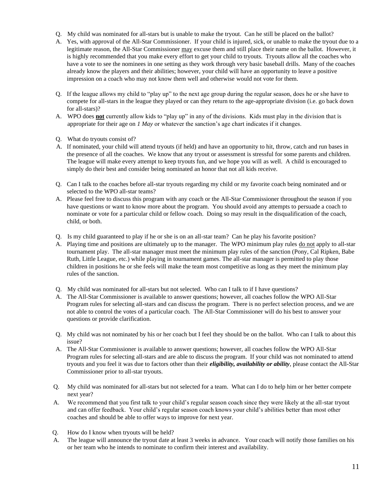- Q. My child was nominated for all-stars but is unable to make the tryout. Can he still be placed on the ballot?
- A. Yes, with approval of the All-Star Commissioner. If your child is injured, sick, or unable to make the tryout due to a legitimate reason, the All-Star Commissioner may excuse them and still place their name on the ballot. However, it is highly recommended that you make every effort to get your child to tryouts. Tryouts allow all the coaches who have a vote to see the nominees in one setting as they work through very basic baseball drills. Many of the coaches already know the players and their abilities; however, your child will have an opportunity to leave a positive impression on a coach who may not know them well and otherwise would not vote for them.
- Q. If the league allows my child to "play up" to the next age group during the regular season, does he or she have to compete for all-stars in the league they played or can they return to the age-appropriate division (i.e. go back down for all-stars)?
- A. WPO does **not** currently allow kids to "play up" in any of the divisions. Kids must play in the division that is appropriate for their age on *1 May* or whatever the sanction's age chart indicates if it changes.
- Q. What do tryouts consist of?
- A. If nominated, your child will attend tryouts (if held) and have an opportunity to hit, throw, catch and run bases in the presence of all the coaches. We know that any tryout or assessment is stressful for some parents and children. The league will make every attempt to keep tryouts fun, and we hope you will as well. A child is encouraged to simply do their best and consider being nominated an honor that not all kids receive.
- Q. Can I talk to the coaches before all-star tryouts regarding my child or my favorite coach being nominated and or selected to the WPO all-star teams?
- A. Please feel free to discuss this program with any coach or the All-Star Commissioner throughout the season if you have questions or want to know more about the program. You should avoid any attempts to persuade a coach to nominate or vote for a particular child or fellow coach. Doing so may result in the disqualification of the coach, child, or both.
- Q. Is my child guaranteed to play if he or she is on an all-star team? Can he play his favorite position?
- A. Playing time and positions are ultimately up to the manager. The WPO minimum play rules do not apply to all-star tournament play. The all-star manager must meet the minimum play rules of the sanction (Pony, Cal Ripken, Babe Ruth, Little League, etc.) while playing in tournament games. The all-star manager is permitted to play those children in positions he or she feels will make the team most competitive as long as they meet the minimum play rules of the sanction.
- Q. My child was nominated for all-stars but not selected. Who can I talk to if I have questions?
- A. The All-Star Commissioner is available to answer questions; however, all coaches follow the WPO All-Star Program rules for selecting all-stars and can discuss the program. There is no perfect selection process, and we are not able to control the votes of a particular coach. The All-Star Commissioner will do his best to answer your questions or provide clarification.
- Q. My child was not nominated by his or her coach but I feel they should be on the ballot. Who can I talk to about this issue?
- A. The All-Star Commissioner is available to answer questions; however, all coaches follow the WPO All-Star Program rules for selecting all-stars and are able to discuss the program. If your child was not nominated to attend tryouts and you feel it was due to factors other than their *eligibility, availability or ability*, please contact the All-Star Commissioner prior to all-star tryouts.
- Q. My child was nominated for all-stars but not selected for a team. What can I do to help him or her better compete next year?
- A. We recommend that you first talk to your child's regular season coach since they were likely at the all-star tryout and can offer feedback. Your child's regular season coach knows your child's abilities better than most other coaches and should be able to offer ways to improve for next year.
- Q. How do I know when tryouts will be held?
- A. The league will announce the tryout date at least 3 weeks in advance. Your coach will notify those families on his or her team who he intends to nominate to confirm their interest and availability.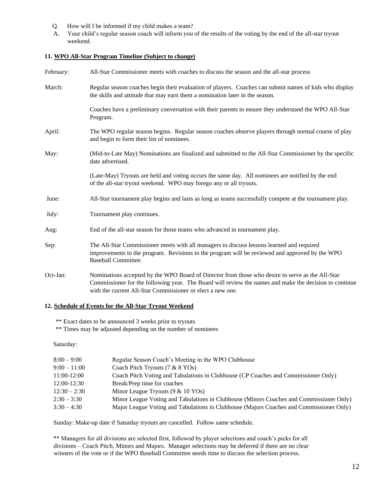- Q. How will I be informed if my child makes a team?
- A. Your child's regular season coach will inform you of the results of the voting by the end of the all-star tryout weekend.

#### **11. WPO All-Star Program Timeline (Subject to change)**

| February: | All-Star Commissioner meets with coaches to discuss the season and the all-star process                                                                                                                                                                                  |
|-----------|--------------------------------------------------------------------------------------------------------------------------------------------------------------------------------------------------------------------------------------------------------------------------|
| March:    | Regular season coaches begin their evaluation of players. Coaches can submit names of kids who display<br>the skills and attitude that may earn them a nomination later in the season.                                                                                   |
|           | Coaches have a preliminary conversation with their parents to ensure they understand the WPO All-Star<br>Program.                                                                                                                                                        |
| April:    | The WPO regular season begins. Regular season coaches observe players through normal course of play<br>and begin to form their list of nominees.                                                                                                                         |
| May:      | (Mid-to-Late May) Nominations are finalized and submitted to the All-Star Commissioner by the specific<br>date advertised.                                                                                                                                               |
|           | (Late-May) Tryouts are held and voting occurs the same day. All nominees are notified by the end<br>of the all-star tryout weekend. WPO may forego any or all tryouts.                                                                                                   |
| June:     | All-Star tournament play begins and lasts as long as teams successfully compete at the tournament play.                                                                                                                                                                  |
| July:     | Tournament play continues.                                                                                                                                                                                                                                               |
| Aug:      | End of the all-star season for those teams who advanced in tournament play.                                                                                                                                                                                              |
| Sep:      | The All-Star Commissioner meets with all managers to discuss lessons learned and required<br>improvements to the program. Revisions to the program will be reviewed and approved by the WPO<br>Baseball Committee.                                                       |
| Oct-Jan:  | Nominations accepted by the WPO Board of Director from those who desire to serve as the All-Star<br>Commissioner for the following year. The Board will review the names and make the decision to continue<br>with the current All-Star Commissioner or elect a new one. |

## **12. Schedule of Events for the All-Star Tryout Weekend**

\*\* Exact dates to be announced 3 weeks prior to tryouts

\*\* Times may be adjusted depending on the number of nominees

Saturday:

| $8:00 - 9:00$  | Regular Season Coach's Meeting in the WPO Clubhouse                                     |
|----------------|-----------------------------------------------------------------------------------------|
| $9:00 - 11:00$ | Coach Pitch Tryouts (7 & 8 YOs)                                                         |
| 11:00-12:00    | Coach Pitch Voting and Tabulations in Clubhouse (CP Coaches and Commissioner Only)      |
| $12:00-12:30$  | Break/Prep time for coaches                                                             |
| $12:30 - 2:30$ | Minor League Tryouts $(9 \& 10 \text{ YOs})$                                            |
| $2:30 - 3:30$  | Minor League Voting and Tabulations in Clubhouse (Minors Coaches and Commissioner Only) |
| $3:30 - 4:30$  | Major League Voting and Tabulations in Clubhouse (Majors Coaches and Commissioner Only) |

Sunday: Make-up date if Saturday tryouts are cancelled. Follow same schedule.

\*\* Managers for all divisions are selected first, followed by player selections and coach's picks for all divisions – Coach Pitch, Minors and Majors. Manager selections may be deferred if there are no clear winners of the vote or if the WPO Baseball Committee needs time to discuss the selection process.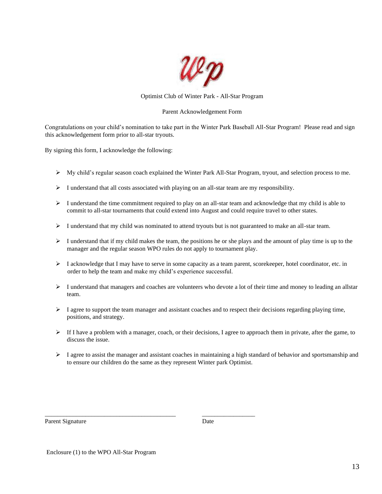

#### Optimist Club of Winter Park - All-Star Program

#### Parent Acknowledgement Form

Congratulations on your child's nomination to take part in the Winter Park Baseball All-Star Program! Please read and sign this acknowledgement form prior to all-star tryouts.

By signing this form, I acknowledge the following:

- $\triangleright$  My child's regular season coach explained the Winter Park All-Star Program, tryout, and selection process to me.
- $\triangleright$  I understand that all costs associated with playing on an all-star team are my responsibility.
- $\triangleright$  I understand the time commitment required to play on an all-star team and acknowledge that my child is able to commit to all-star tournaments that could extend into August and could require travel to other states.
- ➢ I understand that my child was nominated to attend tryouts but is not guaranteed to make an all-star team.
- $\triangleright$  I understand that if my child makes the team, the positions he or she plays and the amount of play time is up to the manager and the regular season WPO rules do not apply to tournament play.
- ➢ I acknowledge that I may have to serve in some capacity as a team parent, scorekeeper, hotel coordinator, etc. in order to help the team and make my child's experience successful.
- $\triangleright$  I understand that managers and coaches are volunteers who devote a lot of their time and money to leading an allstar team.
- $\triangleright$  I agree to support the team manager and assistant coaches and to respect their decisions regarding playing time, positions, and strategy.
- ➢ If I have a problem with a manager, coach, or their decisions, I agree to approach them in private, after the game, to discuss the issue.
- $\triangleright$  I agree to assist the manager and assistant coaches in maintaining a high standard of behavior and sportsmanship and to ensure our children do the same as they represent Winter park Optimist.

Parent Signature Date

Enclosure (1) to the WPO All-Star Program

\_\_\_\_\_\_\_\_\_\_\_\_\_\_\_\_\_\_\_\_\_\_\_\_\_\_\_\_\_\_\_\_\_\_\_\_\_\_\_\_\_\_ \_\_\_\_\_\_\_\_\_\_\_\_\_\_\_\_\_